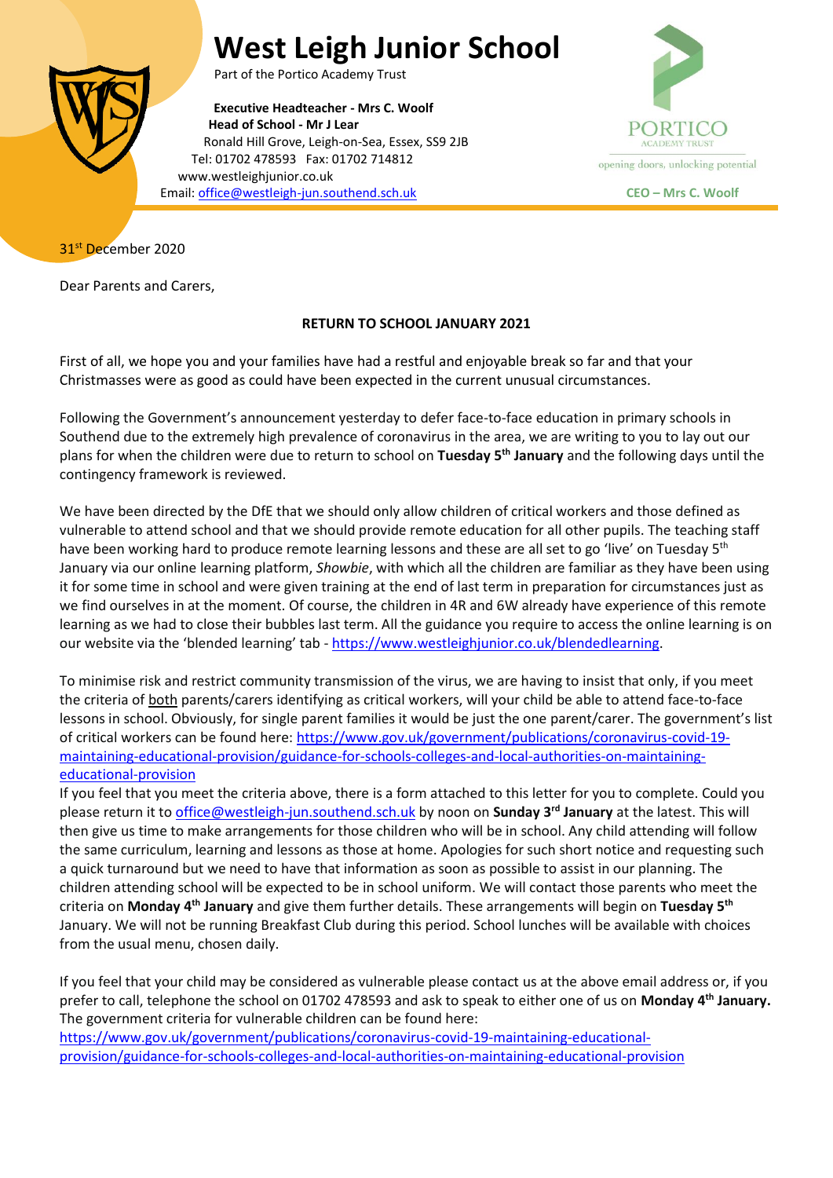## **West Leigh Junior School**



Part of the Portico Academy Trust

**Executive Headteacher - Mrs C. Woolf Head of School - Mr J Lear** Ronald Hill Grove, Leigh-on-Sea, Essex, SS9 2JB Tel: 01702 478593 Fax: 01702 714812 www.westleighjunior.co.uk Email[: office@westleigh-jun.southend.sch.uk](mailto:office@westleigh-jun.southend.sch.uk) **CEO – Mrs C. Woolf**



31<sup>st</sup> December 2020

Dear Parents and Carers,

## **RETURN TO SCHOOL JANUARY 2021**

First of all, we hope you and your families have had a restful and enjoyable break so far and that your Christmasses were as good as could have been expected in the current unusual circumstances.

Following the Government's announcement yesterday to defer face-to-face education in primary schools in Southend due to the extremely high prevalence of coronavirus in the area, we are writing to you to lay out our plans for when the children were due to return to school on **Tuesday 5 th January** and the following days until the contingency framework is reviewed.

We have been directed by the DfE that we should only allow children of critical workers and those defined as vulnerable to attend school and that we should provide remote education for all other pupils. The teaching staff have been working hard to produce remote learning lessons and these are all set to go 'live' on Tuesday 5<sup>th</sup> January via our online learning platform, *Showbie*, with which all the children are familiar as they have been using it for some time in school and were given training at the end of last term in preparation for circumstances just as we find ourselves in at the moment. Of course, the children in 4R and 6W already have experience of this remote learning as we had to close their bubbles last term. All the guidance you require to access the online learning is on our website via the 'blended learning' tab - [https://www.westleighjunior.co.uk/blendedlearning.](https://www.westleighjunior.co.uk/blendedlearning)

To minimise risk and restrict community transmission of the virus, we are having to insist that only, if you meet the criteria of both parents/carers identifying as critical workers, will your child be able to attend face-to-face lessons in school. Obviously, for single parent families it would be just the one parent/carer. The government's list of critical workers can be found here: [https://www.gov.uk/government/publications/coronavirus-covid-19](https://www.gov.uk/government/publications/coronavirus-covid-19-maintaining-educational-provision/guidance-for-schools-colleges-and-local-authorities-on-maintaining-educational-provision) [maintaining-educational-provision/guidance-for-schools-colleges-and-local-authorities-on-maintaining](https://www.gov.uk/government/publications/coronavirus-covid-19-maintaining-educational-provision/guidance-for-schools-colleges-and-local-authorities-on-maintaining-educational-provision)[educational-provision](https://www.gov.uk/government/publications/coronavirus-covid-19-maintaining-educational-provision/guidance-for-schools-colleges-and-local-authorities-on-maintaining-educational-provision)

If you feel that you meet the criteria above, there is a form attached to this letter for you to complete. Could you please return it t[o office@westleigh-jun.southend.sch.uk](mailto:office@westleigh-jun.southend.sch.uk) by noon on **Sunday 3 rd January** at the latest. This will then give us time to make arrangements for those children who will be in school. Any child attending will follow the same curriculum, learning and lessons as those at home. Apologies for such short notice and requesting such a quick turnaround but we need to have that information as soon as possible to assist in our planning. The children attending school will be expected to be in school uniform. We will contact those parents who meet the criteria on **Monday 4 th January** and give them further details. These arrangements will begin on **Tuesday 5th** January. We will not be running Breakfast Club during this period. School lunches will be available with choices from the usual menu, chosen daily.

If you feel that your child may be considered as vulnerable please contact us at the above email address or, if you prefer to call, telephone the school on 01702 478593 and ask to speak to either one of us on Monday 4<sup>th</sup> January. The government criteria for vulnerable children can be found here: [https://www.gov.uk/government/publications/coronavirus-covid-19-maintaining-educational](https://www.gov.uk/government/publications/coronavirus-covid-19-maintaining-educational-provision/guidance-for-schools-colleges-and-local-authorities-on-maintaining-educational-provision)[provision/guidance-for-schools-colleges-and-local-authorities-on-maintaining-educational-provision](https://www.gov.uk/government/publications/coronavirus-covid-19-maintaining-educational-provision/guidance-for-schools-colleges-and-local-authorities-on-maintaining-educational-provision)